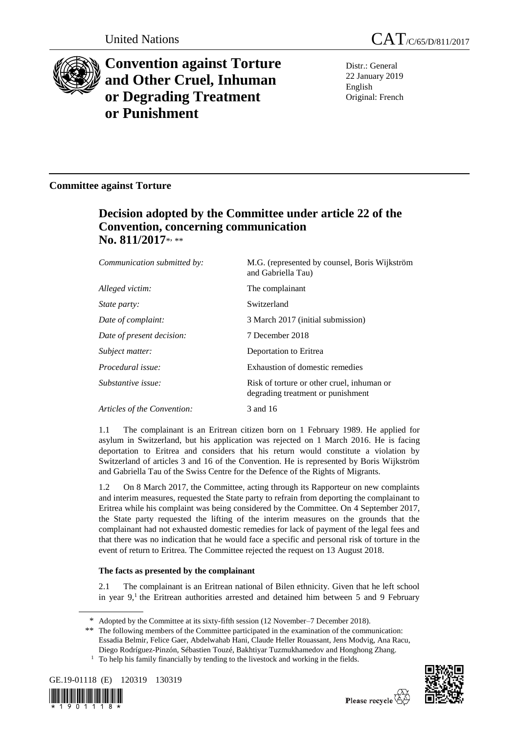

# **Convention against Torture and Other Cruel, Inhuman or Degrading Treatment or Punishment**

Distr.: General 22 January 2019 English Original: French

### **Committee against Torture**

## **Decision adopted by the Committee under article 22 of the Convention, concerning communication**  No. 811/2017\*<sub>\*\*\*</sub>

| Communication submitted by: | M.G. (represented by counsel, Boris Wijkström<br>and Gabriella Tau)             |
|-----------------------------|---------------------------------------------------------------------------------|
| Alleged victim:             | The complainant                                                                 |
| <i>State party:</i>         | Switzerland                                                                     |
| Date of complaint:          | 3 March 2017 (initial submission)                                               |
| Date of present decision:   | 7 December 2018                                                                 |
| Subject matter:             | Deportation to Eritrea                                                          |
| Procedural issue:           | Exhaustion of domestic remedies                                                 |
| Substantive issue:          | Risk of torture or other cruel, inhuman or<br>degrading treatment or punishment |
| Articles of the Convention: | 3 and 16                                                                        |

1.1 The complainant is an Eritrean citizen born on 1 February 1989. He applied for asylum in Switzerland, but his application was rejected on 1 March 2016. He is facing deportation to Eritrea and considers that his return would constitute a violation by Switzerland of articles 3 and 16 of the Convention. He is represented by Boris Wijkström and Gabriella Tau of the Swiss Centre for the Defence of the Rights of Migrants.

1.2 On 8 March 2017, the Committee, acting through its Rapporteur on new complaints and interim measures, requested the State party to refrain from deporting the complainant to Eritrea while his complaint was being considered by the Committee. On 4 September 2017, the State party requested the lifting of the interim measures on the grounds that the complainant had not exhausted domestic remedies for lack of payment of the legal fees and that there was no indication that he would face a specific and personal risk of torture in the event of return to Eritrea. The Committee rejected the request on 13 August 2018.

### **The facts as presented by the complainant**

2.1 The complainant is an Eritrean national of Bilen ethnicity. Given that he left school in year  $9$ ,<sup>1</sup> the Eritrean authorities arrested and detained him between 5 and 9 February

<sup>&</sup>lt;sup>1</sup> To help his family financially by tending to the livestock and working in the fields.







<sup>\*</sup> Adopted by the Committee at its sixty-fifth session (12 November–7 December 2018).

<sup>\*\*</sup> The following members of the Committee participated in the examination of the communication: Essadia Belmir, Felice Gaer, Abdelwahab Hani, Claude Heller Rouassant, Jens Modvig, Ana Racu, Diego Rodríguez-Pinzón, Sébastien Touzé, Bakhtiyar Tuzmukhamedov and Honghong Zhang.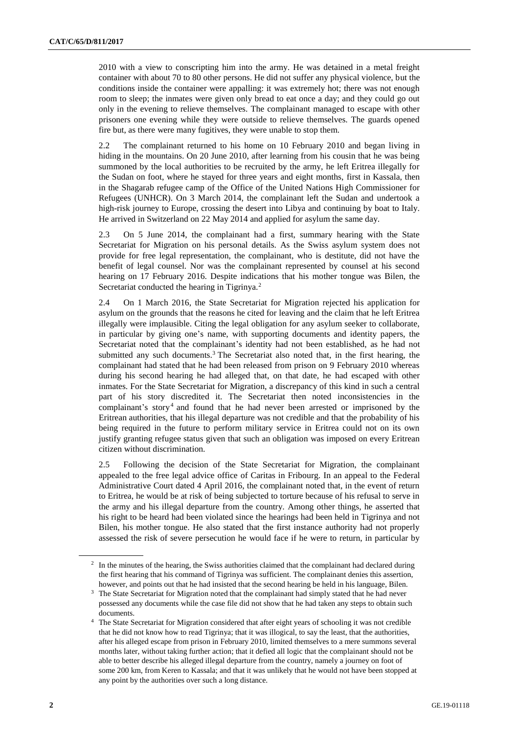2010 with a view to conscripting him into the army. He was detained in a metal freight container with about 70 to 80 other persons. He did not suffer any physical violence, but the conditions inside the container were appalling: it was extremely hot; there was not enough room to sleep; the inmates were given only bread to eat once a day; and they could go out only in the evening to relieve themselves. The complainant managed to escape with other prisoners one evening while they were outside to relieve themselves. The guards opened fire but, as there were many fugitives, they were unable to stop them.

2.2 The complainant returned to his home on 10 February 2010 and began living in hiding in the mountains. On 20 June 2010, after learning from his cousin that he was being summoned by the local authorities to be recruited by the army, he left Eritrea illegally for the Sudan on foot, where he stayed for three years and eight months, first in Kassala, then in the Shagarab refugee camp of the Office of the United Nations High Commissioner for Refugees (UNHCR). On 3 March 2014, the complainant left the Sudan and undertook a high-risk journey to Europe, crossing the desert into Libya and continuing by boat to Italy. He arrived in Switzerland on 22 May 2014 and applied for asylum the same day.

2.3 On 5 June 2014, the complainant had a first, summary hearing with the State Secretariat for Migration on his personal details. As the Swiss asylum system does not provide for free legal representation, the complainant, who is destitute, did not have the benefit of legal counsel. Nor was the complainant represented by counsel at his second hearing on 17 February 2016. Despite indications that his mother tongue was Bilen, the Secretariat conducted the hearing in Tigrinya.<sup>2</sup>

2.4 On 1 March 2016, the State Secretariat for Migration rejected his application for asylum on the grounds that the reasons he cited for leaving and the claim that he left Eritrea illegally were implausible. Citing the legal obligation for any asylum seeker to collaborate, in particular by giving one's name, with supporting documents and identity papers, the Secretariat noted that the complainant's identity had not been established, as he had not submitted any such documents.<sup>3</sup> The Secretariat also noted that, in the first hearing, the complainant had stated that he had been released from prison on 9 February 2010 whereas during his second hearing he had alleged that, on that date, he had escaped with other inmates. For the State Secretariat for Migration, a discrepancy of this kind in such a central part of his story discredited it. The Secretariat then noted inconsistencies in the complainant's story<sup>4</sup> and found that he had never been arrested or imprisoned by the Eritrean authorities, that his illegal departure was not credible and that the probability of his being required in the future to perform military service in Eritrea could not on its own justify granting refugee status given that such an obligation was imposed on every Eritrean citizen without discrimination.

2.5 Following the decision of the State Secretariat for Migration, the complainant appealed to the free legal advice office of Caritas in Fribourg. In an appeal to the Federal Administrative Court dated 4 April 2016, the complainant noted that, in the event of return to Eritrea, he would be at risk of being subjected to torture because of his refusal to serve in the army and his illegal departure from the country. Among other things, he asserted that his right to be heard had been violated since the hearings had been held in Tigrinya and not Bilen, his mother tongue. He also stated that the first instance authority had not properly assessed the risk of severe persecution he would face if he were to return, in particular by

<sup>&</sup>lt;sup>2</sup> In the minutes of the hearing, the Swiss authorities claimed that the complainant had declared during the first hearing that his command of Tigrinya was sufficient. The complainant denies this assertion, however, and points out that he had insisted that the second hearing be held in his language, Bilen.

<sup>&</sup>lt;sup>3</sup> The State Secretariat for Migration noted that the complainant had simply stated that he had never possessed any documents while the case file did not show that he had taken any steps to obtain such documents.

<sup>4</sup> The State Secretariat for Migration considered that after eight years of schooling it was not credible that he did not know how to read Tigrinya; that it was illogical, to say the least, that the authorities, after his alleged escape from prison in February 2010, limited themselves to a mere summons several months later, without taking further action; that it defied all logic that the complainant should not be able to better describe his alleged illegal departure from the country, namely a journey on foot of some 200 km, from Keren to Kassala; and that it was unlikely that he would not have been stopped at any point by the authorities over such a long distance.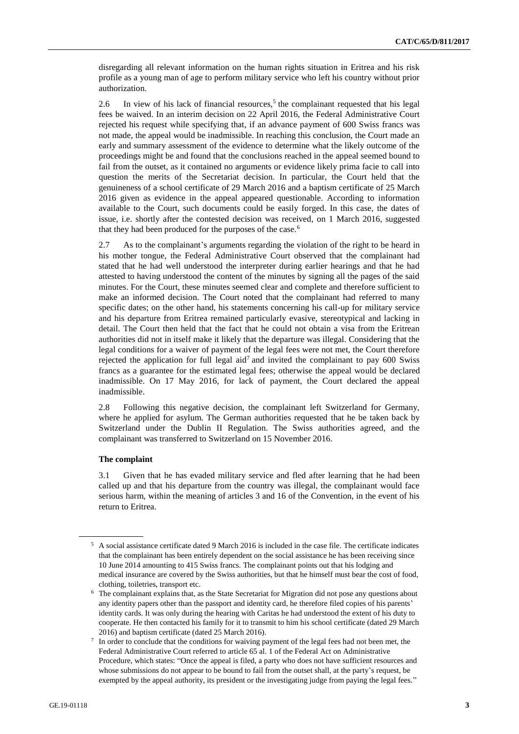disregarding all relevant information on the human rights situation in Eritrea and his risk profile as a young man of age to perform military service who left his country without prior authorization.

2.6 In view of his lack of financial resources,<sup>5</sup> the complainant requested that his legal fees be waived. In an interim decision on 22 April 2016, the Federal Administrative Court rejected his request while specifying that, if an advance payment of 600 Swiss francs was not made, the appeal would be inadmissible. In reaching this conclusion, the Court made an early and summary assessment of the evidence to determine what the likely outcome of the proceedings might be and found that the conclusions reached in the appeal seemed bound to fail from the outset, as it contained no arguments or evidence likely prima facie to call into question the merits of the Secretariat decision. In particular, the Court held that the genuineness of a school certificate of 29 March 2016 and a baptism certificate of 25 March 2016 given as evidence in the appeal appeared questionable. According to information available to the Court, such documents could be easily forged. In this case, the dates of issue, i.e. shortly after the contested decision was received, on 1 March 2016, suggested that they had been produced for the purposes of the case.<sup>6</sup>

2.7 As to the complainant's arguments regarding the violation of the right to be heard in his mother tongue, the Federal Administrative Court observed that the complainant had stated that he had well understood the interpreter during earlier hearings and that he had attested to having understood the content of the minutes by signing all the pages of the said minutes. For the Court, these minutes seemed clear and complete and therefore sufficient to make an informed decision. The Court noted that the complainant had referred to many specific dates; on the other hand, his statements concerning his call-up for military service and his departure from Eritrea remained particularly evasive, stereotypical and lacking in detail. The Court then held that the fact that he could not obtain a visa from the Eritrean authorities did not in itself make it likely that the departure was illegal. Considering that the legal conditions for a waiver of payment of the legal fees were not met, the Court therefore rejected the application for full legal aid<sup>7</sup> and invited the complainant to pay 600 Swiss francs as a guarantee for the estimated legal fees; otherwise the appeal would be declared inadmissible. On 17 May 2016, for lack of payment, the Court declared the appeal inadmissible.

2.8 Following this negative decision, the complainant left Switzerland for Germany, where he applied for asylum. The German authorities requested that he be taken back by Switzerland under the Dublin II Regulation. The Swiss authorities agreed, and the complainant was transferred to Switzerland on 15 November 2016.

#### **The complaint**

3.1 Given that he has evaded military service and fled after learning that he had been called up and that his departure from the country was illegal, the complainant would face serious harm, within the meaning of articles 3 and 16 of the Convention, in the event of his return to Eritrea.

<sup>5</sup> A social assistance certificate dated 9 March 2016 is included in the case file. The certificate indicates that the complainant has been entirely dependent on the social assistance he has been receiving since 10 June 2014 amounting to 415 Swiss francs. The complainant points out that his lodging and medical insurance are covered by the Swiss authorities, but that he himself must bear the cost of food, clothing, toiletries, transport etc.

<sup>6</sup> The complainant explains that, as the State Secretariat for Migration did not pose any questions about any identity papers other than the passport and identity card, he therefore filed copies of his parents' identity cards. It was only during the hearing with Caritas he had understood the extent of his duty to cooperate. He then contacted his family for it to transmit to him his school certificate (dated 29 March 2016) and baptism certificate (dated 25 March 2016).

 $<sup>7</sup>$  In order to conclude that the conditions for waiving payment of the legal fees had not been met, the</sup> Federal Administrative Court referred to article 65 al. 1 of the Federal Act on Administrative Procedure, which states: "Once the appeal is filed, a party who does not have sufficient resources and whose submissions do not appear to be bound to fail from the outset shall, at the party's request, be exempted by the appeal authority, its president or the investigating judge from paying the legal fees."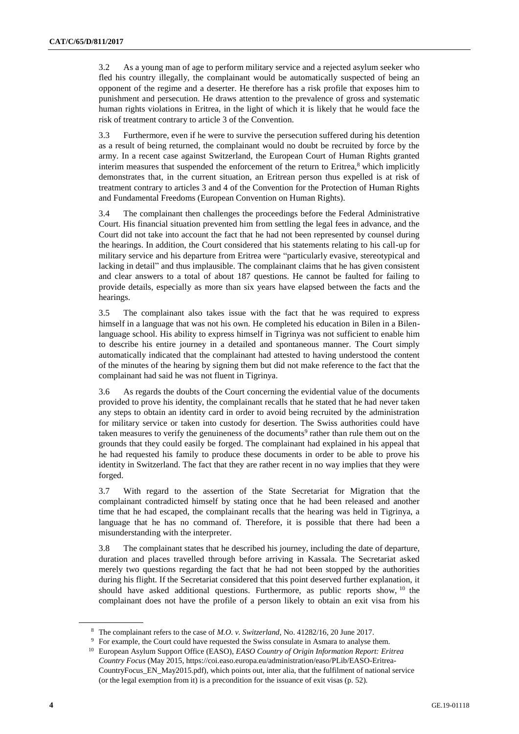3.2 As a young man of age to perform military service and a rejected asylum seeker who fled his country illegally, the complainant would be automatically suspected of being an opponent of the regime and a deserter. He therefore has a risk profile that exposes him to punishment and persecution. He draws attention to the prevalence of gross and systematic human rights violations in Eritrea, in the light of which it is likely that he would face the risk of treatment contrary to article 3 of the Convention.

3.3 Furthermore, even if he were to survive the persecution suffered during his detention as a result of being returned, the complainant would no doubt be recruited by force by the army. In a recent case against Switzerland, the European Court of Human Rights granted interim measures that suspended the enforcement of the return to Eritrea, $8$  which implicitly demonstrates that, in the current situation, an Eritrean person thus expelled is at risk of treatment contrary to articles 3 and 4 of the Convention for the Protection of Human Rights and Fundamental Freedoms (European Convention on Human Rights).

3.4 The complainant then challenges the proceedings before the Federal Administrative Court. His financial situation prevented him from settling the legal fees in advance, and the Court did not take into account the fact that he had not been represented by counsel during the hearings. In addition, the Court considered that his statements relating to his call-up for military service and his departure from Eritrea were "particularly evasive, stereotypical and lacking in detail" and thus implausible. The complainant claims that he has given consistent and clear answers to a total of about 187 questions. He cannot be faulted for failing to provide details, especially as more than six years have elapsed between the facts and the hearings.

3.5 The complainant also takes issue with the fact that he was required to express himself in a language that was not his own. He completed his education in Bilen in a Bilenlanguage school. His ability to express himself in Tigrinya was not sufficient to enable him to describe his entire journey in a detailed and spontaneous manner. The Court simply automatically indicated that the complainant had attested to having understood the content of the minutes of the hearing by signing them but did not make reference to the fact that the complainant had said he was not fluent in Tigrinya.

3.6 As regards the doubts of the Court concerning the evidential value of the documents provided to prove his identity, the complainant recalls that he stated that he had never taken any steps to obtain an identity card in order to avoid being recruited by the administration for military service or taken into custody for desertion. The Swiss authorities could have taken measures to verify the genuineness of the documents<sup>9</sup> rather than rule them out on the grounds that they could easily be forged. The complainant had explained in his appeal that he had requested his family to produce these documents in order to be able to prove his identity in Switzerland. The fact that they are rather recent in no way implies that they were forged.

3.7 With regard to the assertion of the State Secretariat for Migration that the complainant contradicted himself by stating once that he had been released and another time that he had escaped, the complainant recalls that the hearing was held in Tigrinya, a language that he has no command of. Therefore, it is possible that there had been a misunderstanding with the interpreter.

3.8 The complainant states that he described his journey, including the date of departure, duration and places travelled through before arriving in Kassala. The Secretariat asked merely two questions regarding the fact that he had not been stopped by the authorities during his flight. If the Secretariat considered that this point deserved further explanation, it should have asked additional questions. Furthermore, as public reports show, <sup>10</sup> the complainant does not have the profile of a person likely to obtain an exit visa from his

<sup>8</sup> The complainant refers to the case of *M.O. v. Switzerland*, No. 41282/16, 20 June 2017.

<sup>&</sup>lt;sup>9</sup> For example, the Court could have requested the Swiss consulate in Asmara to analyse them.

<sup>10</sup> European Asylum Support Office (EASO), *EASO Country of Origin Information Report: Eritrea Country Focus* (May 2015, https://coi.easo.europa.eu/administration/easo/PLib/EASO-Eritrea-CountryFocus\_EN\_May2015.pdf), which points out, inter alia, that the fulfilment of national service (or the legal exemption from it) is a precondition for the issuance of exit visas (p. 52).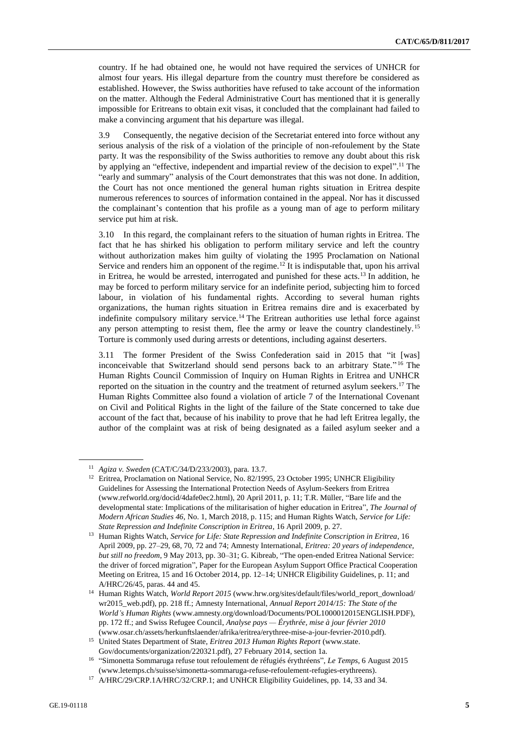country. If he had obtained one, he would not have required the services of UNHCR for almost four years. His illegal departure from the country must therefore be considered as established. However, the Swiss authorities have refused to take account of the information on the matter. Although the Federal Administrative Court has mentioned that it is generally impossible for Eritreans to obtain exit visas, it concluded that the complainant had failed to make a convincing argument that his departure was illegal.

3.9 Consequently, the negative decision of the Secretariat entered into force without any serious analysis of the risk of a violation of the principle of non-refoulement by the State party. It was the responsibility of the Swiss authorities to remove any doubt about this risk by applying an "effective, independent and impartial review of the decision to expel".<sup>11</sup> The "early and summary" analysis of the Court demonstrates that this was not done. In addition, the Court has not once mentioned the general human rights situation in Eritrea despite numerous references to sources of information contained in the appeal. Nor has it discussed the complainant's contention that his profile as a young man of age to perform military service put him at risk.

3.10 In this regard, the complainant refers to the situation of human rights in Eritrea. The fact that he has shirked his obligation to perform military service and left the country without authorization makes him guilty of violating the 1995 Proclamation on National Service and renders him an opponent of the regime.<sup>12</sup> It is indisputable that, upon his arrival in Eritrea, he would be arrested, interrogated and punished for these acts.<sup>13</sup> In addition, he may be forced to perform military service for an indefinite period, subjecting him to forced labour, in violation of his fundamental rights. According to several human rights organizations, the human rights situation in Eritrea remains dire and is exacerbated by indefinite compulsory military service.<sup>14</sup> The Eritrean authorities use lethal force against any person attempting to resist them, flee the army or leave the country clandestinely.<sup>15</sup> Torture is commonly used during arrests or detentions, including against deserters.

3.11 The former President of the Swiss Confederation said in 2015 that "it [was] inconceivable that Switzerland should send persons back to an arbitrary State." <sup>16</sup> The Human Rights Council Commission of Inquiry on Human Rights in Eritrea and UNHCR reported on the situation in the country and the treatment of returned asylum seekers.<sup>17</sup> The Human Rights Committee also found a violation of article 7 of the International Covenant on Civil and Political Rights in the light of the failure of the State concerned to take due account of the fact that, because of his inability to prove that he had left Eritrea legally, the author of the complaint was at risk of being designated as a failed asylum seeker and a

<sup>11</sup> *Agiza v. Sweden* (CAT/C/34/D/233/2003), para. 13.7.

<sup>&</sup>lt;sup>12</sup> Eritrea, Proclamation on National Service, No. 82/1995, 23 October 1995; UNHCR Eligibility Guidelines for Assessing the International Protection Needs of Asylum-Seekers from Eritrea (www.refworld.org/docid/4dafe0ec2.html), 20 April 2011, p. 11; T.R. Müller, "Bare life and the developmental state: Implications of the militarisation of higher education in Eritrea", *The Journal of Modern African Studies 46,* No. 1, March 2018, p. 115; and Human Rights Watch, *Service for Life: State Repression and Indefinite Conscription in Eritrea*, 16 April 2009, p. 27.

<sup>13</sup> Human Rights Watch, *Service for Life: State Repression and Indefinite Conscription in Eritrea*, 16 April 2009, pp. 27–29, 68, 70, 72 and 74; Amnesty International, *Eritrea: 20 years of independence, but still no freedom*, 9 May 2013, pp. 30–31; G. Kibreab, "The open-ended Eritrea National Service: the driver of forced migration", Paper for the European Asylum Support Office Practical Cooperation Meeting on Eritrea, 15 and 16 October 2014, pp. 12–14; UNHCR Eligibility Guidelines, p. 11; and A/HRC/26/45, paras. 44 and 45.

<sup>&</sup>lt;sup>14</sup> Human Rights Watch, *World Report 2015* (www.hrw.org/sites/default/files/world\_report\_download/ wr2015\_web.pdf), pp. 218 ff.; Amnesty International, *Annual Report 2014/15: The State of the World's Human Rights* (www.amnesty.org/download/Documents/POL1000012015ENGLISH.PDF), pp. 172 ff.; and Swiss Refugee Council, *Analyse pays — Érythrée, mise à jour février 2010* (www.osar.ch/assets/herkunftslaender/afrika/eritrea/erythree-mise-a-jour-fevrier-2010.pdf).

<sup>15</sup> United States Department of State, *Eritrea 2013 Human Rights Report* (www.state. Gov/documents/organization/220321.pdf), 27 February 2014, section 1a.

<sup>16</sup> "Simonetta Sommaruga refuse tout refoulement de réfugiés érythréens", *Le Temps*, 6 August 2015 (www.letemps.ch/suisse/simonetta-sommaruga-refuse-refoulement-refugies-erythreens).

<sup>17</sup> A/HRC/29/CRP.1A/HRC/32/CRP.1; and UNHCR Eligibility Guidelines, pp. 14, 33 and 34.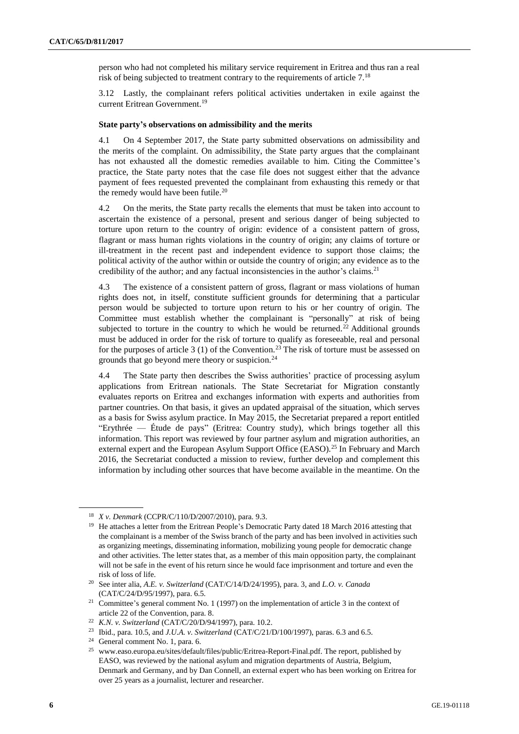person who had not completed his military service requirement in Eritrea and thus ran a real risk of being subjected to treatment contrary to the requirements of article 7.<sup>18</sup>

3.12 Lastly, the complainant refers political activities undertaken in exile against the current Eritrean Government.<sup>19</sup>

#### **State party's observations on admissibility and the merits**

4.1 On 4 September 2017, the State party submitted observations on admissibility and the merits of the complaint. On admissibility, the State party argues that the complainant has not exhausted all the domestic remedies available to him. Citing the Committee's practice, the State party notes that the case file does not suggest either that the advance payment of fees requested prevented the complainant from exhausting this remedy or that the remedy would have been futile.<sup>20</sup>

4.2 On the merits, the State party recalls the elements that must be taken into account to ascertain the existence of a personal, present and serious danger of being subjected to torture upon return to the country of origin: evidence of a consistent pattern of gross, flagrant or mass human rights violations in the country of origin; any claims of torture or ill-treatment in the recent past and independent evidence to support those claims; the political activity of the author within or outside the country of origin; any evidence as to the credibility of the author; and any factual inconsistencies in the author's claims.<sup>21</sup>

4.3 The existence of a consistent pattern of gross, flagrant or mass violations of human rights does not, in itself, constitute sufficient grounds for determining that a particular person would be subjected to torture upon return to his or her country of origin. The Committee must establish whether the complainant is "personally" at risk of being subjected to torture in the country to which he would be returned.<sup>22</sup> Additional grounds must be adduced in order for the risk of torture to qualify as foreseeable, real and personal for the purposes of article 3 (1) of the Convention.<sup>23</sup> The risk of torture must be assessed on grounds that go beyond mere theory or suspicion.<sup>24</sup>

4.4 The State party then describes the Swiss authorities' practice of processing asylum applications from Eritrean nationals. The State Secretariat for Migration constantly evaluates reports on Eritrea and exchanges information with experts and authorities from partner countries. On that basis, it gives an updated appraisal of the situation, which serves as a basis for Swiss asylum practice. In May 2015, the Secretariat prepared a report entitled "Erythrée — Étude de pays" (Eritrea: Country study), which brings together all this information. This report was reviewed by four partner asylum and migration authorities, an external expert and the European Asylum Support Office (EASO).<sup>25</sup> In February and March 2016, the Secretariat conducted a mission to review, further develop and complement this information by including other sources that have become available in the meantime. On the

<sup>18</sup> *X v. Denmark* (CCPR/C/110/D/2007/2010), para. 9.3.

<sup>&</sup>lt;sup>19</sup> He attaches a letter from the Eritrean People's Democratic Party dated 18 March 2016 attesting that the complainant is a member of the Swiss branch of the party and has been involved in activities such as organizing meetings, disseminating information, mobilizing young people for democratic change and other activities. The letter states that, as a member of this main opposition party, the complainant will not be safe in the event of his return since he would face imprisonment and torture and even the risk of loss of life.

<sup>20</sup> See inter alia, *A.E. v. Switzerland* (CAT/C/14/D/24/1995), para. 3, and *L.O. v. Canada* (CAT/C/24/D/95/1997), para. 6.5.

<sup>&</sup>lt;sup>21</sup> Committee's general comment No. 1 (1997) on the implementation of article 3 in the context of article 22 of the Convention, para. 8.

<sup>22</sup> *K.N. v. Switzerland* (CAT/C/20/D/94/1997), para. 10.2.

<sup>23</sup> Ibid., para. 10.5, and *J.U.A. v. Switzerland* (CAT/C/21/D/100/1997), paras. 6.3 and 6.5.

<sup>24</sup> General comment No. 1, para. 6.

<sup>25</sup> www.easo.europa.eu/sites/default/files/public/Eritrea-Report-Final.pdf. The report, published by EASO, was reviewed by the national asylum and migration departments of Austria, Belgium, Denmark and Germany, and by Dan Connell, an external expert who has been working on Eritrea for over 25 years as a journalist, lecturer and researcher.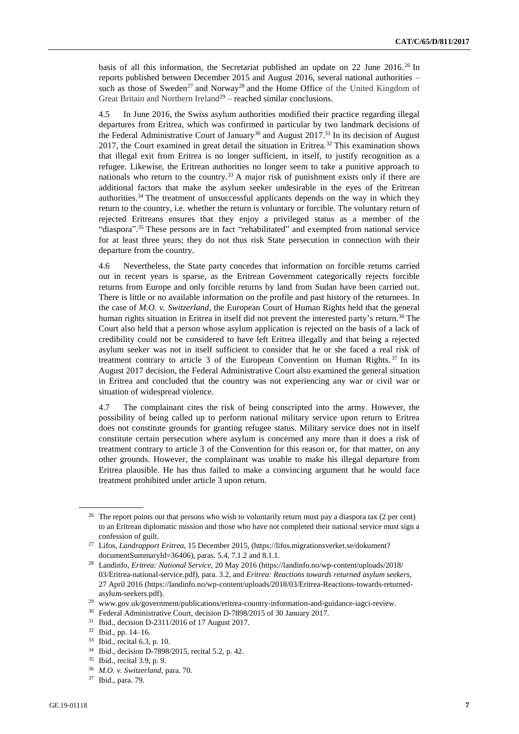basis of all this information, the Secretariat published an update on 22 June 2016.<sup>26</sup> In reports published between December 2015 and August 2016, several national authorities – such as those of Sweden<sup>27</sup> and Norway<sup>28</sup> and the Home Office of the United Kingdom of Great Britain and Northern Ireland<sup>29</sup> – reached similar conclusions.

4.5 In June 2016, the Swiss asylum authorities modified their practice regarding illegal departures from Eritrea, which was confirmed in particular by two landmark decisions of the Federal Administrative Court of January<sup>30</sup> and August 2017.<sup>31</sup> In its decision of August 2017, the Court examined in great detail the situation in Eritrea.<sup>32</sup> This examination shows that illegal exit from Eritrea is no longer sufficient, in itself, to justify recognition as a refugee. Likewise, the Eritrean authorities no longer seem to take a punitive approach to nationals who return to the country.<sup>33</sup> A major risk of punishment exists only if there are additional factors that make the asylum seeker undesirable in the eyes of the Eritrean authorities.<sup>34</sup> The treatment of unsuccessful applicants depends on the way in which they return to the country, i.e. whether the return is voluntary or forcible. The voluntary return of rejected Eritreans ensures that they enjoy a privileged status as a member of the "diaspora".<sup>35</sup> These persons are in fact "rehabilitated" and exempted from national service for at least three years; they do not thus risk State persecution in connection with their departure from the country.

4.6 Nevertheless, the State party concedes that information on forcible returns carried out in recent years is sparse, as the Eritrean Government categorically rejects forcible returns from Europe and only forcible returns by land from Sudan have been carried out. There is little or no available information on the profile and past history of the returnees. In the case of *M.O. v. Switzerland*, the European Court of Human Rights held that the general human rights situation in Eritrea in itself did not prevent the interested party's return.<sup>36</sup> The Court also held that a person whose asylum application is rejected on the basis of a lack of credibility could not be considered to have left Eritrea illegally and that being a rejected asylum seeker was not in itself sufficient to consider that he or she faced a real risk of treatment contrary to article 3 of the European Convention on Human Rights.<sup>37</sup> In its August 2017 decision, the Federal Administrative Court also examined the general situation in Eritrea and concluded that the country was not experiencing any war or civil war or situation of widespread violence.

4.7 The complainant cites the risk of being conscripted into the army. However, the possibility of being called up to perform national military service upon return to Eritrea does not constitute grounds for granting refugee status. Military service does not in itself constitute certain persecution where asylum is concerned any more than it does a risk of treatment contrary to article 3 of the Convention for this reason or, for that matter, on any other grounds. However, the complainant was unable to make his illegal departure from Eritrea plausible. He has thus failed to make a convincing argument that he would face treatment prohibited under article 3 upon return.

 $26$  The report points out that persons who wish to voluntarily return must pay a diaspora tax (2 per cent) to an Eritrean diplomatic mission and those who have not completed their national service must sign a confession of guilt.

<sup>&</sup>lt;sup>27</sup> Lifos, *Landrapport Eritrea*, 15 December 2015, (https://lifos.migrationsverket.se/dokument? documentSummaryId=36406), paras. 5.4, 7.1.2 and 8.1.1.

<sup>28</sup> Landinfo, *Eritrea: National Service*, 20 May 2016 (https://landinfo.no/wp-content/uploads/2018/ 03/Eritrea-national-service.pdf), para. 3.2, and *Eritrea: Reactions towards returned asylum seekers*, 27 April 2016 (https://landinfo.no/wp-content/uploads/2018/03/Eritrea-Reactions-towards-returnedasylum-seekers.pdf).

<sup>29</sup> www.gov.uk/government/publications/eritrea-country-information-and-guidance-iagci-review.

<sup>30</sup> Federal Administrative Court, decision D-7898/2015 of 30 January 2017.

<sup>31</sup> Ibid., decision D-2311/2016 of 17 August 2017.

<sup>32</sup> Ibid., pp. 14–16.

<sup>33</sup> Ibid., recital 6.3, p. 10.

<sup>34</sup> Ibid., decision D-7898/2015, recital 5.2, p. 42.

<sup>35</sup> Ibid., recital 3.9, p. 9.

<sup>36</sup> *M.O. v. Switzerland*, para. 70.

<sup>37</sup> Ibid., para. 79.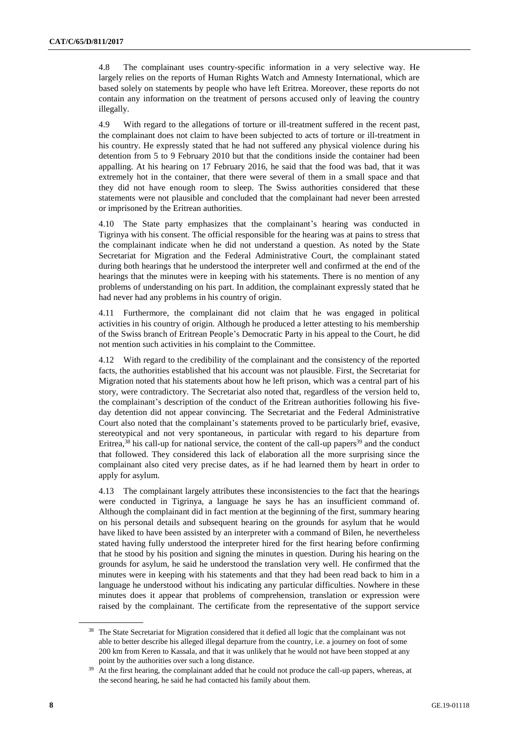4.8 The complainant uses country-specific information in a very selective way. He largely relies on the reports of Human Rights Watch and Amnesty International, which are based solely on statements by people who have left Eritrea. Moreover, these reports do not contain any information on the treatment of persons accused only of leaving the country illegally.

4.9 With regard to the allegations of torture or ill-treatment suffered in the recent past, the complainant does not claim to have been subjected to acts of torture or ill-treatment in his country. He expressly stated that he had not suffered any physical violence during his detention from 5 to 9 February 2010 but that the conditions inside the container had been appalling. At his hearing on 17 February 2016, he said that the food was bad, that it was extremely hot in the container, that there were several of them in a small space and that they did not have enough room to sleep. The Swiss authorities considered that these statements were not plausible and concluded that the complainant had never been arrested or imprisoned by the Eritrean authorities.

4.10 The State party emphasizes that the complainant's hearing was conducted in Tigrinya with his consent. The official responsible for the hearing was at pains to stress that the complainant indicate when he did not understand a question. As noted by the State Secretariat for Migration and the Federal Administrative Court, the complainant stated during both hearings that he understood the interpreter well and confirmed at the end of the hearings that the minutes were in keeping with his statements. There is no mention of any problems of understanding on his part. In addition, the complainant expressly stated that he had never had any problems in his country of origin.

4.11 Furthermore, the complainant did not claim that he was engaged in political activities in his country of origin. Although he produced a letter attesting to his membership of the Swiss branch of Eritrean People's Democratic Party in his appeal to the Court, he did not mention such activities in his complaint to the Committee.

4.12 With regard to the credibility of the complainant and the consistency of the reported facts, the authorities established that his account was not plausible. First, the Secretariat for Migration noted that his statements about how he left prison, which was a central part of his story, were contradictory. The Secretariat also noted that, regardless of the version held to, the complainant's description of the conduct of the Eritrean authorities following his fiveday detention did not appear convincing. The Secretariat and the Federal Administrative Court also noted that the complainant's statements proved to be particularly brief, evasive, stereotypical and not very spontaneous, in particular with regard to his departure from Eritrea,  $38$  his call-up for national service, the content of the call-up papers  $39$  and the conduct that followed. They considered this lack of elaboration all the more surprising since the complainant also cited very precise dates, as if he had learned them by heart in order to apply for asylum.

4.13 The complainant largely attributes these inconsistencies to the fact that the hearings were conducted in Tigrinya, a language he says he has an insufficient command of. Although the complainant did in fact mention at the beginning of the first, summary hearing on his personal details and subsequent hearing on the grounds for asylum that he would have liked to have been assisted by an interpreter with a command of Bilen, he nevertheless stated having fully understood the interpreter hired for the first hearing before confirming that he stood by his position and signing the minutes in question. During his hearing on the grounds for asylum, he said he understood the translation very well. He confirmed that the minutes were in keeping with his statements and that they had been read back to him in a language he understood without his indicating any particular difficulties. Nowhere in these minutes does it appear that problems of comprehension, translation or expression were raised by the complainant. The certificate from the representative of the support service

<sup>&</sup>lt;sup>38</sup> The State Secretariat for Migration considered that it defied all logic that the complainant was not able to better describe his alleged illegal departure from the country, i.e. a journey on foot of some 200 km from Keren to Kassala, and that it was unlikely that he would not have been stopped at any point by the authorities over such a long distance.

At the first hearing, the complainant added that he could not produce the call-up papers, whereas, at the second hearing, he said he had contacted his family about them.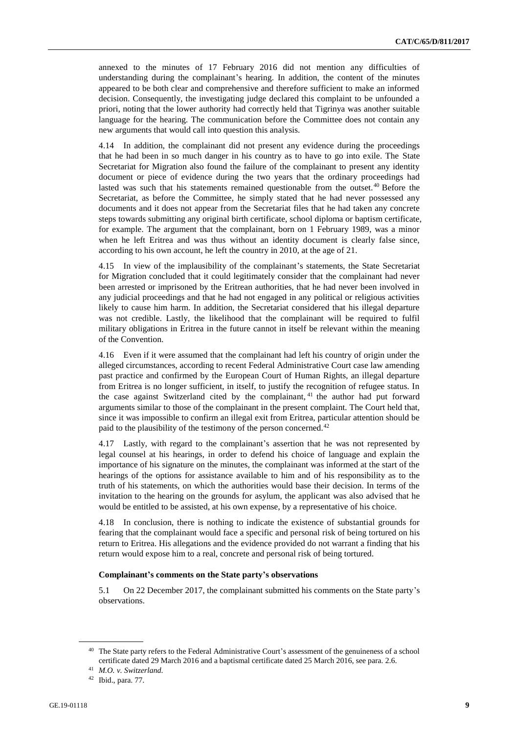annexed to the minutes of 17 February 2016 did not mention any difficulties of understanding during the complainant's hearing. In addition, the content of the minutes appeared to be both clear and comprehensive and therefore sufficient to make an informed decision. Consequently, the investigating judge declared this complaint to be unfounded a priori, noting that the lower authority had correctly held that Tigrinya was another suitable language for the hearing. The communication before the Committee does not contain any new arguments that would call into question this analysis.

4.14 In addition, the complainant did not present any evidence during the proceedings that he had been in so much danger in his country as to have to go into exile. The State Secretariat for Migration also found the failure of the complainant to present any identity document or piece of evidence during the two years that the ordinary proceedings had lasted was such that his statements remained questionable from the outset.<sup>40</sup> Before the Secretariat, as before the Committee, he simply stated that he had never possessed any documents and it does not appear from the Secretariat files that he had taken any concrete steps towards submitting any original birth certificate, school diploma or baptism certificate, for example. The argument that the complainant, born on 1 February 1989, was a minor when he left Eritrea and was thus without an identity document is clearly false since, according to his own account, he left the country in 2010, at the age of 21.

4.15 In view of the implausibility of the complainant's statements, the State Secretariat for Migration concluded that it could legitimately consider that the complainant had never been arrested or imprisoned by the Eritrean authorities, that he had never been involved in any judicial proceedings and that he had not engaged in any political or religious activities likely to cause him harm. In addition, the Secretariat considered that his illegal departure was not credible. Lastly, the likelihood that the complainant will be required to fulfil military obligations in Eritrea in the future cannot in itself be relevant within the meaning of the Convention.

4.16 Even if it were assumed that the complainant had left his country of origin under the alleged circumstances, according to recent Federal Administrative Court case law amending past practice and confirmed by the European Court of Human Rights, an illegal departure from Eritrea is no longer sufficient, in itself, to justify the recognition of refugee status. In the case against Switzerland cited by the complainant, <sup>41</sup> the author had put forward arguments similar to those of the complainant in the present complaint. The Court held that, since it was impossible to confirm an illegal exit from Eritrea, particular attention should be paid to the plausibility of the testimony of the person concerned.<sup>42</sup>

4.17 Lastly, with regard to the complainant's assertion that he was not represented by legal counsel at his hearings, in order to defend his choice of language and explain the importance of his signature on the minutes, the complainant was informed at the start of the hearings of the options for assistance available to him and of his responsibility as to the truth of his statements, on which the authorities would base their decision. In terms of the invitation to the hearing on the grounds for asylum, the applicant was also advised that he would be entitled to be assisted, at his own expense, by a representative of his choice.

4.18 In conclusion, there is nothing to indicate the existence of substantial grounds for fearing that the complainant would face a specific and personal risk of being tortured on his return to Eritrea. His allegations and the evidence provided do not warrant a finding that his return would expose him to a real, concrete and personal risk of being tortured.

#### **Complainant's comments on the State party's observations**

5.1 On 22 December 2017, the complainant submitted his comments on the State party's observations.

<sup>40</sup> The State party refers to the Federal Administrative Court's assessment of the genuineness of a school certificate dated 29 March 2016 and a baptismal certificate dated 25 March 2016, see para. 2.6.

<sup>41</sup> *M.O. v. Switzerland.*

 $42$  Ibid., para. 77.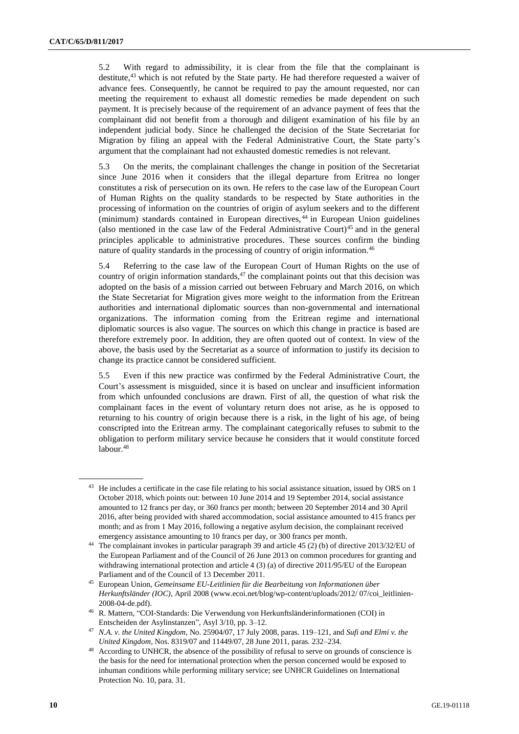5.2 With regard to admissibility, it is clear from the file that the complainant is destitute, $43$  which is not refuted by the State party. He had therefore requested a waiver of advance fees. Consequently, he cannot be required to pay the amount requested, nor can meeting the requirement to exhaust all domestic remedies be made dependent on such payment. It is precisely because of the requirement of an advance payment of fees that the complainant did not benefit from a thorough and diligent examination of his file by an independent judicial body. Since he challenged the decision of the State Secretariat for Migration by filing an appeal with the Federal Administrative Court, the State party's argument that the complainant had not exhausted domestic remedies is not relevant.

5.3 On the merits, the complainant challenges the change in position of the Secretariat since June 2016 when it considers that the illegal departure from Eritrea no longer constitutes a risk of persecution on its own. He refers to the case law of the European Court of Human Rights on the quality standards to be respected by State authorities in the processing of information on the countries of origin of asylum seekers and to the different (minimum) standards contained in European directives,<sup>44</sup> in European Union guidelines (also mentioned in the case law of the Federal Administrative Court)<sup>45</sup> and in the general principles applicable to administrative procedures. These sources confirm the binding nature of quality standards in the processing of country of origin information.<sup>46</sup>

5.4 Referring to the case law of the European Court of Human Rights on the use of country of origin information standards, $47$  the complainant points out that this decision was adopted on the basis of a mission carried out between February and March 2016, on which the State Secretariat for Migration gives more weight to the information from the Eritrean authorities and international diplomatic sources than non-governmental and international organizations. The information coming from the Eritrean regime and international diplomatic sources is also vague. The sources on which this change in practice is based are therefore extremely poor. In addition, they are often quoted out of context. In view of the above, the basis used by the Secretariat as a source of information to justify its decision to change its practice cannot be considered sufficient.

5.5 Even if this new practice was confirmed by the Federal Administrative Court, the Court's assessment is misguided, since it is based on unclear and insufficient information from which unfounded conclusions are drawn. First of all, the question of what risk the complainant faces in the event of voluntary return does not arise, as he is opposed to returning to his country of origin because there is a risk, in the light of his age, of being conscripted into the Eritrean army. The complainant categorically refuses to submit to the obligation to perform military service because he considers that it would constitute forced labour.<sup>48</sup>

<sup>&</sup>lt;sup>43</sup> He includes a certificate in the case file relating to his social assistance situation, issued by ORS on 1 October 2018, which points out: between 10 June 2014 and 19 September 2014, social assistance amounted to 12 francs per day, or 360 francs per month; between 20 September 2014 and 30 April 2016, after being provided with shared accommodation, social assistance amounted to 415 francs per month; and as from 1 May 2016, following a negative asylum decision, the complainant received emergency assistance amounting to 10 francs per day, or 300 francs per month.

<sup>44</sup> The complainant invokes in particular paragraph 39 and article 45 (2) (b) of directive 2013/32/EU of the European Parliament and of the Council of 26 June 2013 on common procedures for granting and withdrawing international protection and article 4 (3) (a) of directive 2011/95/EU of the European Parliament and of the Council of 13 December 2011.

<sup>45</sup> European Union, *Gemeinsame EU-Leitlinien für die Bearbeitung von Informationen über Herkunftsländer (IOC)*, April 2008 (www.ecoi.net/blog/wp-content/uploads/2012/ 07/coi\_leitlinien-2008-04-de.pdf).

<sup>46</sup> R. Mattern, "COI-Standards: Die Verwendung von Herkunftsländerinformationen (COI) in Entscheiden der Asylinstanzen", Asyl 3/10, pp. 3–12.

<sup>47</sup> *N.A. v. the United Kingdom*, No. 25904/07, 17 July 2008, paras. 119–121, and *Sufi and Elmi v. the United Kingdom*, Nos. 8319/07 and 11449/07, 28 June 2011, paras. 232–234.

<sup>&</sup>lt;sup>48</sup> According to UNHCR, the absence of the possibility of refusal to serve on grounds of conscience is the basis for the need for international protection when the person concerned would be exposed to inhuman conditions while performing military service; see UNHCR Guidelines on International Protection No. 10, para. 31.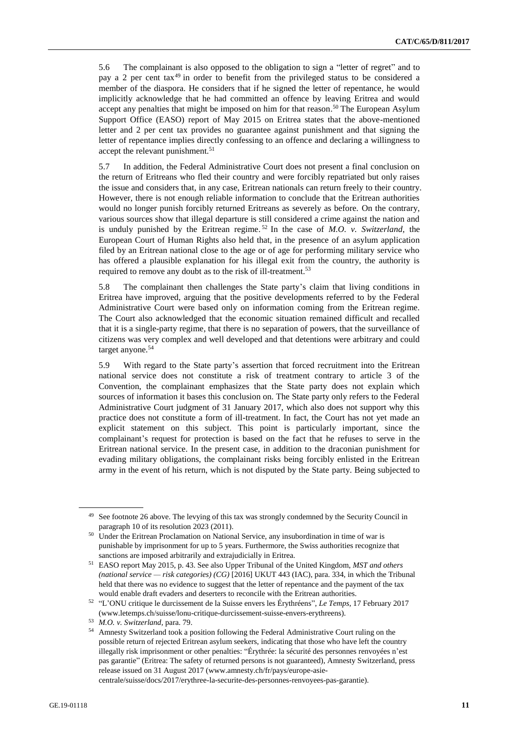5.6 The complainant is also opposed to the obligation to sign a "letter of regret" and to pay a 2 per cent tax<sup>49</sup> in order to benefit from the privileged status to be considered a member of the diaspora. He considers that if he signed the letter of repentance, he would implicitly acknowledge that he had committed an offence by leaving Eritrea and would accept any penalties that might be imposed on him for that reason.<sup>50</sup> The European Asylum Support Office (EASO) report of May 2015 on Eritrea states that the above-mentioned letter and 2 per cent tax provides no guarantee against punishment and that signing the letter of repentance implies directly confessing to an offence and declaring a willingness to accept the relevant punishment.<sup>51</sup>

5.7 In addition, the Federal Administrative Court does not present a final conclusion on the return of Eritreans who fled their country and were forcibly repatriated but only raises the issue and considers that, in any case, Eritrean nationals can return freely to their country. However, there is not enough reliable information to conclude that the Eritrean authorities would no longer punish forcibly returned Eritreans as severely as before. On the contrary, various sources show that illegal departure is still considered a crime against the nation and is unduly punished by the Eritrean regime. <sup>52</sup> In the case of *M.O. v. Switzerland*, the European Court of Human Rights also held that, in the presence of an asylum application filed by an Eritrean national close to the age or of age for performing military service who has offered a plausible explanation for his illegal exit from the country, the authority is required to remove any doubt as to the risk of ill-treatment.<sup>53</sup>

5.8 The complainant then challenges the State party's claim that living conditions in Eritrea have improved, arguing that the positive developments referred to by the Federal Administrative Court were based only on information coming from the Eritrean regime. The Court also acknowledged that the economic situation remained difficult and recalled that it is a single-party regime, that there is no separation of powers, that the surveillance of citizens was very complex and well developed and that detentions were arbitrary and could target anyone.<sup>54</sup>

5.9 With regard to the State party's assertion that forced recruitment into the Eritrean national service does not constitute a risk of treatment contrary to article 3 of the Convention, the complainant emphasizes that the State party does not explain which sources of information it bases this conclusion on. The State party only refers to the Federal Administrative Court judgment of 31 January 2017, which also does not support why this practice does not constitute a form of ill-treatment. In fact, the Court has not yet made an explicit statement on this subject. This point is particularly important, since the complainant's request for protection is based on the fact that he refuses to serve in the Eritrean national service. In the present case, in addition to the draconian punishment for evading military obligations, the complainant risks being forcibly enlisted in the Eritrean army in the event of his return, which is not disputed by the State party. Being subjected to

centrale/suisse/docs/2017/erythree-la-securite-des-personnes-renvoyees-pas-garantie).

<sup>&</sup>lt;sup>49</sup> See footnote 26 above. The levying of this tax was strongly condemned by the Security Council in paragraph 10 of its resolution 2023 (2011).

<sup>&</sup>lt;sup>50</sup> Under the Eritrean Proclamation on National Service, any insubordination in time of war is punishable by imprisonment for up to 5 years. Furthermore, the Swiss authorities recognize that sanctions are imposed arbitrarily and extrajudicially in Eritrea.

<sup>51</sup> EASO report May 2015, p. 43. See also Upper Tribunal of the United Kingdom, *MST and others (national service — risk categories) (CG)* [2016] UKUT 443 (IAC), para. 334, in which the Tribunal held that there was no evidence to suggest that the letter of repentance and the payment of the tax would enable draft evaders and deserters to reconcile with the Eritrean authorities.

<sup>52</sup> "L'ONU critique le durcissement de la Suisse envers les Érythréens", *Le Temps*, 17 February 2017 (www.letemps.ch/suisse/lonu-critique-durcissement-suisse-envers-erythreens).

<sup>53</sup> *M.O. v. Switzerland*, para. 79.

<sup>54</sup> Amnesty Switzerland took a position following the Federal Administrative Court ruling on the possible return of rejected Eritrean asylum seekers, indicating that those who have left the country illegally risk imprisonment or other penalties: "Érythrée: la sécurité des personnes renvoyées n'est pas garantie" (Eritrea: The safety of returned persons is not guaranteed), Amnesty Switzerland, press release issued on 31 August 2017 (www.amnesty.ch/fr/pays/europe-asie-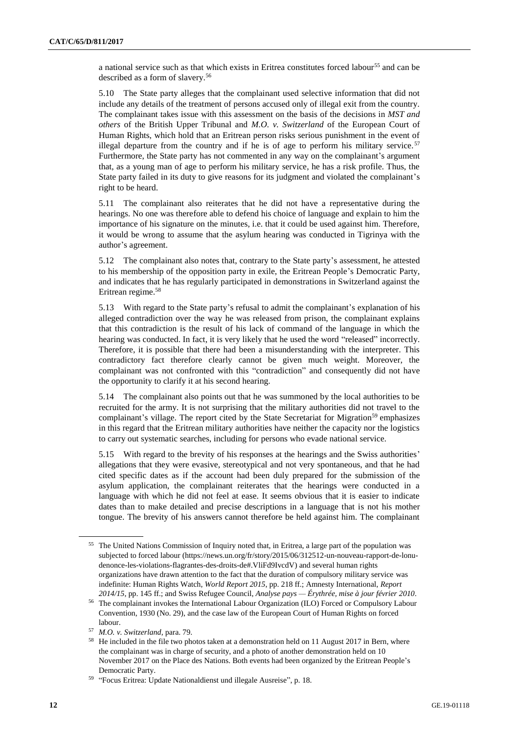a national service such as that which exists in Eritrea constitutes forced labour<sup>55</sup> and can be described as a form of slavery.<sup>56</sup>

5.10 The State party alleges that the complainant used selective information that did not include any details of the treatment of persons accused only of illegal exit from the country. The complainant takes issue with this assessment on the basis of the decisions in *MST and others* of the British Upper Tribunal and *M.O. v. Switzerland* of the European Court of Human Rights, which hold that an Eritrean person risks serious punishment in the event of illegal departure from the country and if he is of age to perform his military service.<sup>57</sup> Furthermore, the State party has not commented in any way on the complainant's argument that, as a young man of age to perform his military service, he has a risk profile. Thus, the State party failed in its duty to give reasons for its judgment and violated the complainant's right to be heard.

5.11 The complainant also reiterates that he did not have a representative during the hearings. No one was therefore able to defend his choice of language and explain to him the importance of his signature on the minutes, i.e. that it could be used against him. Therefore, it would be wrong to assume that the asylum hearing was conducted in Tigrinya with the author's agreement.

5.12 The complainant also notes that, contrary to the State party's assessment, he attested to his membership of the opposition party in exile, the Eritrean People's Democratic Party, and indicates that he has regularly participated in demonstrations in Switzerland against the Eritrean regime.<sup>58</sup>

5.13 With regard to the State party's refusal to admit the complainant's explanation of his alleged contradiction over the way he was released from prison, the complainant explains that this contradiction is the result of his lack of command of the language in which the hearing was conducted. In fact, it is very likely that he used the word "released" incorrectly. Therefore, it is possible that there had been a misunderstanding with the interpreter. This contradictory fact therefore clearly cannot be given much weight. Moreover, the complainant was not confronted with this "contradiction" and consequently did not have the opportunity to clarify it at his second hearing.

5.14 The complainant also points out that he was summoned by the local authorities to be recruited for the army. It is not surprising that the military authorities did not travel to the complainant's village. The report cited by the State Secretariat for Migration<sup>59</sup> emphasizes in this regard that the Eritrean military authorities have neither the capacity nor the logistics to carry out systematic searches, including for persons who evade national service.

5.15 With regard to the brevity of his responses at the hearings and the Swiss authorities' allegations that they were evasive, stereotypical and not very spontaneous, and that he had cited specific dates as if the account had been duly prepared for the submission of the asylum application, the complainant reiterates that the hearings were conducted in a language with which he did not feel at ease. It seems obvious that it is easier to indicate dates than to make detailed and precise descriptions in a language that is not his mother tongue. The brevity of his answers cannot therefore be held against him. The complainant

<sup>55</sup> The United Nations Commission of Inquiry noted that, in Eritrea, a large part of the population was subjected to forced labour (https://news.un.org/fr/story/2015/06/312512-un-nouveau-rapport-de-lonudenonce-les-violations-flagrantes-des-droits-de#.VliFd9IvcdV) and several human rights organizations have drawn attention to the fact that the duration of compulsory military service was indefinite: Human Rights Watch, *World Report 2015*, pp. 218 ff.; Amnesty International, *Report 2014/15*, pp. 145 ff.; and Swiss Refugee Council, *Analyse pays — Érythrée, mise à jour février 2010*.

<sup>56</sup> The complainant invokes the International Labour Organization (ILO) Forced or Compulsory Labour Convention, 1930 (No. 29), and the case law of the European Court of Human Rights on forced labour.

<sup>57</sup> *M.O. v. Switzerland*, para. 79.

<sup>&</sup>lt;sup>58</sup> He included in the file two photos taken at a demonstration held on 11 August 2017 in Bern, where the complainant was in charge of security, and a photo of another demonstration held on 10 November 2017 on the Place des Nations. Both events had been organized by the Eritrean People's Democratic Party.

<sup>&</sup>lt;sup>59</sup> "Focus Eritrea: Update Nationaldienst und illegale Ausreise", p. 18.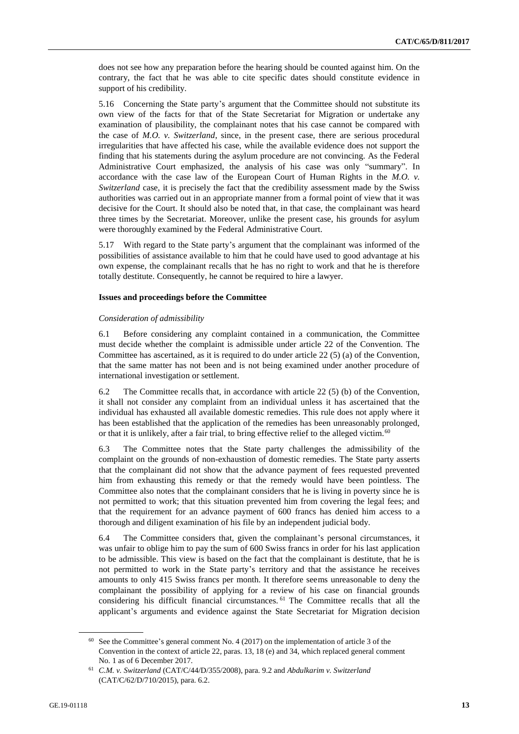does not see how any preparation before the hearing should be counted against him. On the contrary, the fact that he was able to cite specific dates should constitute evidence in support of his credibility.

5.16 Concerning the State party's argument that the Committee should not substitute its own view of the facts for that of the State Secretariat for Migration or undertake any examination of plausibility, the complainant notes that his case cannot be compared with the case of *M.O. v. Switzerland*, since, in the present case, there are serious procedural irregularities that have affected his case, while the available evidence does not support the finding that his statements during the asylum procedure are not convincing. As the Federal Administrative Court emphasized, the analysis of his case was only "summary". In accordance with the case law of the European Court of Human Rights in the *M.O. v. Switzerland* case, it is precisely the fact that the credibility assessment made by the Swiss authorities was carried out in an appropriate manner from a formal point of view that it was decisive for the Court. It should also be noted that, in that case, the complainant was heard three times by the Secretariat. Moreover, unlike the present case, his grounds for asylum were thoroughly examined by the Federal Administrative Court.

5.17 With regard to the State party's argument that the complainant was informed of the possibilities of assistance available to him that he could have used to good advantage at his own expense, the complainant recalls that he has no right to work and that he is therefore totally destitute. Consequently, he cannot be required to hire a lawyer.

#### **Issues and proceedings before the Committee**

#### *Consideration of admissibility*

6.1 Before considering any complaint contained in a communication, the Committee must decide whether the complaint is admissible under article 22 of the Convention. The Committee has ascertained, as it is required to do under article 22 (5) (a) of the Convention, that the same matter has not been and is not being examined under another procedure of international investigation or settlement.

6.2 The Committee recalls that, in accordance with article 22 (5) (b) of the Convention, it shall not consider any complaint from an individual unless it has ascertained that the individual has exhausted all available domestic remedies. This rule does not apply where it has been established that the application of the remedies has been unreasonably prolonged, or that it is unlikely, after a fair trial, to bring effective relief to the alleged victim.<sup>60</sup>

6.3 The Committee notes that the State party challenges the admissibility of the complaint on the grounds of non-exhaustion of domestic remedies. The State party asserts that the complainant did not show that the advance payment of fees requested prevented him from exhausting this remedy or that the remedy would have been pointless. The Committee also notes that the complainant considers that he is living in poverty since he is not permitted to work; that this situation prevented him from covering the legal fees; and that the requirement for an advance payment of 600 francs has denied him access to a thorough and diligent examination of his file by an independent judicial body.

6.4 The Committee considers that, given the complainant's personal circumstances, it was unfair to oblige him to pay the sum of 600 Swiss francs in order for his last application to be admissible. This view is based on the fact that the complainant is destitute, that he is not permitted to work in the State party's territory and that the assistance he receives amounts to only 415 Swiss francs per month. It therefore seems unreasonable to deny the complainant the possibility of applying for a review of his case on financial grounds considering his difficult financial circumstances. <sup>61</sup> The Committee recalls that all the applicant's arguments and evidence against the State Secretariat for Migration decision

 $60$  See the Committee's general comment No. 4 (2017) on the implementation of article 3 of the Convention in the context of article 22, paras. 13, 18 (e) and 34, which replaced general comment No. 1 as of 6 December 2017.

<sup>61</sup> *C.M. v. Switzerland* (CAT/C/44/D/355/2008), para. 9.2 and *Abdulkarim v. Switzerland* (CAT/C/62/D/710/2015), para. 6.2.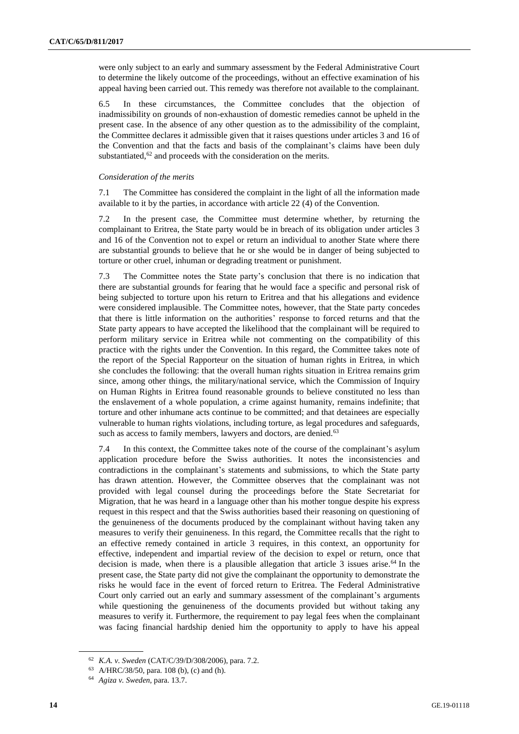were only subject to an early and summary assessment by the Federal Administrative Court to determine the likely outcome of the proceedings, without an effective examination of his appeal having been carried out. This remedy was therefore not available to the complainant.

6.5 In these circumstances, the Committee concludes that the objection of inadmissibility on grounds of non-exhaustion of domestic remedies cannot be upheld in the present case. In the absence of any other question as to the admissibility of the complaint, the Committee declares it admissible given that it raises questions under articles 3 and 16 of the Convention and that the facts and basis of the complainant's claims have been duly substantiated, $62$  and proceeds with the consideration on the merits.

#### *Consideration of the merits*

7.1 The Committee has considered the complaint in the light of all the information made available to it by the parties, in accordance with article 22 (4) of the Convention.

7.2 In the present case, the Committee must determine whether, by returning the complainant to Eritrea, the State party would be in breach of its obligation under articles 3 and 16 of the Convention not to expel or return an individual to another State where there are substantial grounds to believe that he or she would be in danger of being subjected to torture or other cruel, inhuman or degrading treatment or punishment.

7.3 The Committee notes the State party's conclusion that there is no indication that there are substantial grounds for fearing that he would face a specific and personal risk of being subjected to torture upon his return to Eritrea and that his allegations and evidence were considered implausible. The Committee notes, however, that the State party concedes that there is little information on the authorities' response to forced returns and that the State party appears to have accepted the likelihood that the complainant will be required to perform military service in Eritrea while not commenting on the compatibility of this practice with the rights under the Convention. In this regard, the Committee takes note of the report of the Special Rapporteur on the situation of human rights in Eritrea, in which she concludes the following: that the overall human rights situation in Eritrea remains grim since, among other things, the military/national service, which the Commission of Inquiry on Human Rights in Eritrea found reasonable grounds to believe constituted no less than the enslavement of a whole population, a crime against humanity, remains indefinite; that torture and other inhumane acts continue to be committed; and that detainees are especially vulnerable to human rights violations, including torture, as legal procedures and safeguards, such as access to family members, lawyers and doctors, are denied.<sup>63</sup>

7.4 In this context, the Committee takes note of the course of the complainant's asylum application procedure before the Swiss authorities. It notes the inconsistencies and contradictions in the complainant's statements and submissions, to which the State party has drawn attention. However, the Committee observes that the complainant was not provided with legal counsel during the proceedings before the State Secretariat for Migration, that he was heard in a language other than his mother tongue despite his express request in this respect and that the Swiss authorities based their reasoning on questioning of the genuineness of the documents produced by the complainant without having taken any measures to verify their genuineness. In this regard, the Committee recalls that the right to an effective remedy contained in article 3 requires, in this context, an opportunity for effective, independent and impartial review of the decision to expel or return, once that decision is made, when there is a plausible allegation that article  $3$  issues arise.<sup>64</sup> In the present case, the State party did not give the complainant the opportunity to demonstrate the risks he would face in the event of forced return to Eritrea. The Federal Administrative Court only carried out an early and summary assessment of the complainant's arguments while questioning the genuineness of the documents provided but without taking any measures to verify it. Furthermore, the requirement to pay legal fees when the complainant was facing financial hardship denied him the opportunity to apply to have his appeal

<sup>62</sup> *K.A. v. Sweden* (CAT/C/39/D/308/2006), para. 7.2.

<sup>63</sup> A/HRC/38/50, para. 108 (b), (c) and (h).

<sup>64</sup> *Agiza v. Sweden*, para. 13.7.